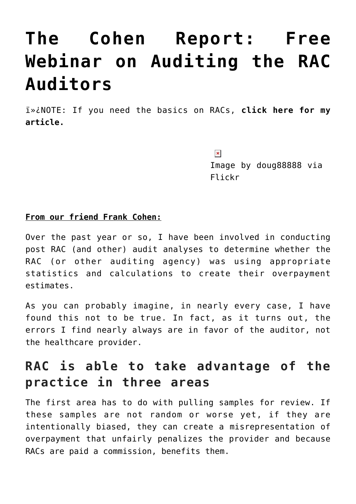## **[The Cohen Report: Free](https://managemypractice.com/the-cohen-report-free-webinar-on-auditing-the-rac-auditors/) [Webinar on Auditing the RAC](https://managemypractice.com/the-cohen-report-free-webinar-on-auditing-the-rac-auditors/) [Auditors](https://managemypractice.com/the-cohen-report-free-webinar-on-auditing-the-rac-auditors/)**

 $i \times i$ NOTE: If you need the basics on RACs, [click here for my](https://managemypractice.com/the-rac-outreach-session-get-your-medical-practice-ready-now/) **[article.](https://managemypractice.com/the-rac-outreach-session-get-your-medical-practice-ready-now/)**

> $\pmb{\times}$ Image by doug88888 via Flickr

## **From our friend Frank Cohen:**

Over the past year or so, I have been involved in conducting post RAC (and other) audit analyses to determine whether the RAC (or other auditing agency) was using appropriate statistics and calculations to create their overpayment estimates.

As you can probably imagine, in nearly every case, I have found this not to be true. In fact, as it turns out, the errors I find nearly always are in favor of the auditor, not the healthcare provider.

## **RAC is able to take advantage of the practice in three areas**

The first area has to do with pulling samples for review. If these samples are not random or worse yet, if they are intentionally biased, they can create a misrepresentation of overpayment that unfairly penalizes the provider and because RACs are paid a commission, benefits them.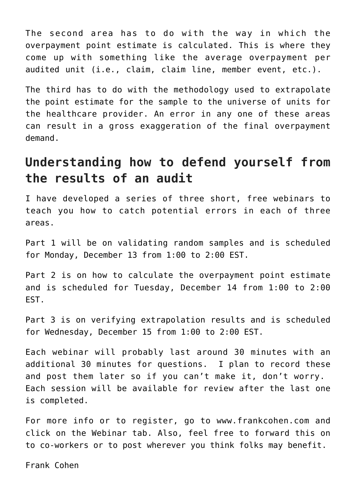The second area has to do with the way in which the overpayment point estimate is calculated. This is where they come up with something like the average overpayment per audited unit (i.e., claim, claim line, member event, etc.).

The third has to do with the methodology used to extrapolate the point estimate for the sample to the universe of units for the healthcare provider. An error in any one of these areas can result in a gross exaggeration of the final overpayment demand.

## **Understanding how to defend yourself from the results of an audit**

I have developed a series of three short, free webinars to teach you how to catch potential errors in each of three areas.

Part 1 will be on validating random samples and is scheduled for Monday, December 13 from 1:00 to 2:00 EST.

Part 2 is on how to calculate the overpayment point estimate and is scheduled for Tuesday, December 14 from 1:00 to 2:00 EST.

Part 3 is on verifying extrapolation results and is scheduled for Wednesday, December 15 from 1:00 to 2:00 EST.

Each webinar will probably last around 30 minutes with an additional 30 minutes for questions. I plan to record these and post them later so if you can't make it, don't worry. Each session will be available for review after the last one is completed.

For more info or to register, go to [www.frankcohen.com](http://mk1.netatlantic.com/t/10726385/79031522/34098/0/) and click on the Webinar tab. Also, feel free to forward this on to co-workers or to post wherever you think folks may benefit.

Frank Cohen